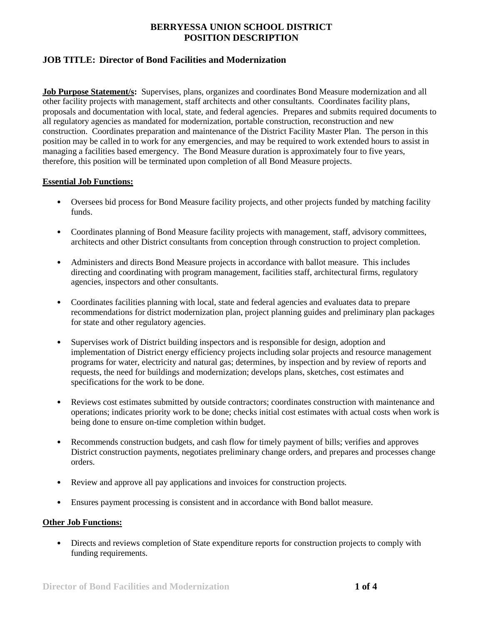# **JOB TITLE: Director of Bond Facilities and Modernization**

**Job Purpose Statement/s:** Supervises, plans, organizes and coordinates Bond Measure modernization and all other facility projects with management, staff architects and other consultants. Coordinates facility plans, proposals and documentation with local, state, and federal agencies. Prepares and submits required documents to all regulatory agencies as mandated for modernization, portable construction, reconstruction and new construction. Coordinates preparation and maintenance of the District Facility Master Plan. The person in this position may be called in to work for any emergencies, and may be required to work extended hours to assist in managing a facilities based emergency. The Bond Measure duration is approximately four to five years, therefore, this position will be terminated upon completion of all Bond Measure projects.

### **Essential Job Functions:**

- Oversees bid process for Bond Measure facility projects, and other projects funded by matching facility funds.
- Coordinates planning of Bond Measure facility projects with management, staff, advisory committees, architects and other District consultants from conception through construction to project completion.
- Administers and directs Bond Measure projects in accordance with ballot measure. This includes directing and coordinating with program management, facilities staff, architectural firms, regulatory agencies, inspectors and other consultants.
- Coordinates facilities planning with local, state and federal agencies and evaluates data to prepare recommendations for district modernization plan, project planning guides and preliminary plan packages for state and other regulatory agencies.
- Supervises work of District building inspectors and is responsible for design, adoption and implementation of District energy efficiency projects including solar projects and resource management programs for water, electricity and natural gas; determines, by inspection and by review of reports and requests, the need for buildings and modernization; develops plans, sketches, cost estimates and specifications for the work to be done.
- Reviews cost estimates submitted by outside contractors; coordinates construction with maintenance and operations; indicates priority work to be done; checks initial cost estimates with actual costs when work is being done to ensure on-time completion within budget.
- Recommends construction budgets, and cash flow for timely payment of bills; verifies and approves District construction payments, negotiates preliminary change orders, and prepares and processes change orders.
- Review and approve all pay applications and invoices for construction projects.
- Ensures payment processing is consistent and in accordance with Bond ballot measure.

## **Other Job Functions:**

• Directs and reviews completion of State expenditure reports for construction projects to comply with funding requirements.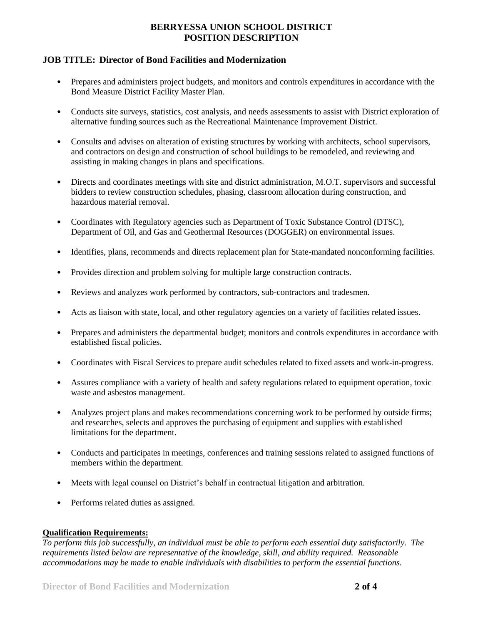# **JOB TITLE: Director of Bond Facilities and Modernization**

- Prepares and administers project budgets, and monitors and controls expenditures in accordance with the Bond Measure District Facility Master Plan.
- Conducts site surveys, statistics, cost analysis, and needs assessments to assist with District exploration of alternative funding sources such as the Recreational Maintenance Improvement District.
- Consults and advises on alteration of existing structures by working with architects, school supervisors, and contractors on design and construction of school buildings to be remodeled, and reviewing and assisting in making changes in plans and specifications.
- Directs and coordinates meetings with site and district administration, M.O.T. supervisors and successful bidders to review construction schedules, phasing, classroom allocation during construction, and hazardous material removal.
- Coordinates with Regulatory agencies such as Department of Toxic Substance Control (DTSC), Department of Oil, and Gas and Geothermal Resources (DOGGER) on environmental issues.
- Identifies, plans, recommends and directs replacement plan for State-mandated nonconforming facilities.
- Provides direction and problem solving for multiple large construction contracts.
- Reviews and analyzes work performed by contractors, sub-contractors and tradesmen.
- Acts as liaison with state, local, and other regulatory agencies on a variety of facilities related issues.
- Prepares and administers the departmental budget; monitors and controls expenditures in accordance with established fiscal policies.
- Coordinates with Fiscal Services to prepare audit schedules related to fixed assets and work-in-progress.
- Assures compliance with a variety of health and safety regulations related to equipment operation, toxic waste and asbestos management.
- Analyzes project plans and makes recommendations concerning work to be performed by outside firms; and researches, selects and approves the purchasing of equipment and supplies with established limitations for the department.
- Conducts and participates in meetings, conferences and training sessions related to assigned functions of members within the department.
- Meets with legal counsel on District's behalf in contractual litigation and arbitration.
- Performs related duties as assigned.

#### **Qualification Requirements:**

*To perform this job successfully, an individual must be able to perform each essential duty satisfactorily. The requirements listed below are representative of the knowledge, skill, and ability required. Reasonable accommodations may be made to enable individuals with disabilities to perform the essential functions.*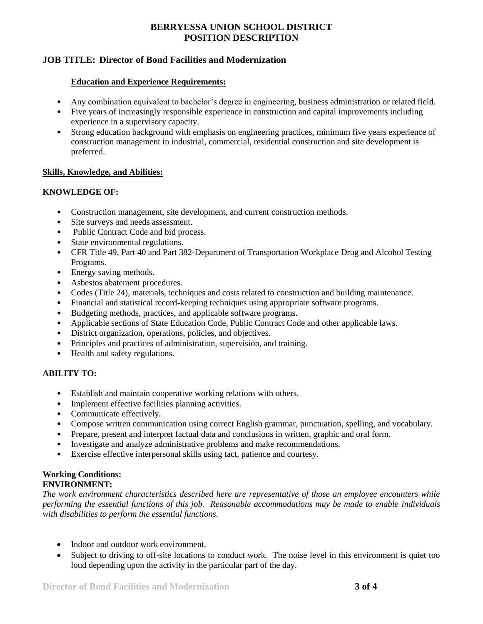## **JOB TITLE: Director of Bond Facilities and Modernization**

#### **Education and Experience Requirements:**

- Any combination equivalent to bachelor's degree in engineering, business administration or related field.
- Five years of increasingly responsible experience in construction and capital improvements including experience in a supervisory capacity.
- Strong education background with emphasis on engineering practices, minimum five years experience of construction management in industrial, commercial, residential construction and site development is preferred.

### **Skills, Knowledge, and Abilities:**

### **KNOWLEDGE OF:**

- Construction management, site development, and current construction methods.
- Site surveys and needs assessment.
- Public Contract Code and bid process.
- State environmental regulations.
- CFR Title 49, Part 40 and Part 382-Department of Transportation Workplace Drug and Alcohol Testing Programs.
- Energy saving methods.
- Asbestos abatement procedures.
- Codes (Title 24), materials, techniques and costs related to construction and building maintenance.
- Financial and statistical record-keeping techniques using appropriate software programs.
- Budgeting methods, practices, and applicable software programs.
- Applicable sections of State Education Code, Public Contract Code and other applicable laws.
- District organization, operations, policies, and objectives.
- Principles and practices of administration, supervision, and training.
- Health and safety regulations.

## **ABILITY TO:**

- Establish and maintain cooperative working relations with others.
- Implement effective facilities planning activities.
- Communicate effectively.
- Compose written communication using correct English grammar, punctuation, spelling, and vocabulary.
- Prepare, present and interpret factual data and conclusions in written, graphic and oral form.
- Investigate and analyze administrative problems and make recommendations.
- Exercise effective interpersonal skills using tact, patience and courtesy.

### **Working Conditions: ENVIRONMENT:**

*The work environment characteristics described here are representative of those an employee encounters while performing the essential functions of this job. Reasonable accommodations may be made to enable individuals with disabilities to perform the essential functions.*

- Indoor and outdoor work environment.
- Subject to driving to off-site locations to conduct work. The noise level in this environment is quiet too loud depending upon the activity in the particular part of the day.